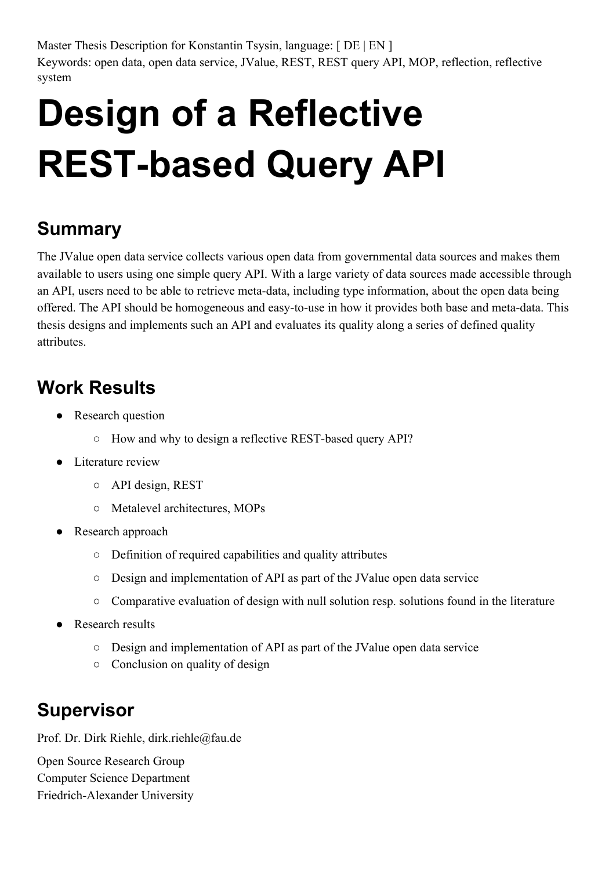Master Thesis Description for Konstantin Tsysin, language: [DE | EN ] Keywords: open data, open data service, JValue, REST, REST query API, MOP, reflection, reflective system

## **Design of a Reflective REST-based Query API**

## **Summary**

The JValue open data service collects various open data from governmental data sources and makes them available to users using one simple query API. With a large variety of data sources made accessible through an API, users need to be able to retrieve meta-data, including type information, about the open data being offered. The API should be homogeneous and easy-to-use in how it provides both base and meta-data. This thesis designs and implements such an API and evaluates its quality along a series of defined quality attributes.

## **Work Results**

- Research question
	- $\circ$  How and why to design a reflective REST-based query API?
- Literature review
	- API design, REST
	- Metalevel architectures, MOPs
- Research approach
	- Definition of required capabilities and quality attributes
	- Design and implementation of API as part of the JValue open data service
	- Comparative evaluation of design with null solution resp. solutions found in the literature
- Research results
	- Design and implementation of API as part of the JValue open data service
	- Conclusion on quality of design

## **Supervisor**

Prof. Dr. Dirk Riehle, dirk.riehle@fau.de

Open Source Research Group Computer Science Department Friedrich-Alexander University